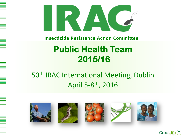

**Insecticide Resistance Action Committee** 

## **Public Health Team 2015/16**

### 50<sup>th</sup> IRAC International Meeting, Dublin April 5-8<sup>th</sup>, 2016











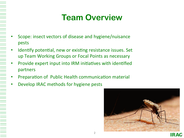# **Team Overview**

- Scope: insect vectors of disease and hygiene/nuisance pests
- Identify potential, new or existing resistance issues. Set up Team Working Groups or Focal Points as necessary
- Provide expert input into IRM initiatives with identified partners
- Preparation of Public Health communication material
- Develop IRAC methods for hygiene pests

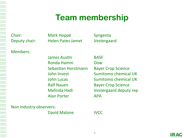### **Team membership**

Chair: Mark Hoppé Syngenta Deputy chair: Helen Pates Jamet Vestergaard

Members: 

James Austin **BASE** Ronda Hamm **Dow** Sebastian Horstmann Bayer Crop Science Ralf Nauen **Bayer Crop Science** Alan Porter **APA** 

John Invest **Sumitomo** chemical UK **John Lucas Conserversity Conserversity** Sumitomo chemical UK Melinda Hadi **Calculary** Vestergaard deputy rep

Non industry observers:

David Malone **IVCC**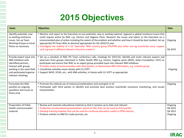### **2015 Objectives**

| <b>Goals</b>                                                                                                                                                                            | <b>Objectives</b>                                                                                                                                                                                                                                                                                                                                                                                                                                                                                                                                                                                                                       | <b>Date</b>                              |
|-----------------------------------------------------------------------------------------------------------------------------------------------------------------------------------------|-----------------------------------------------------------------------------------------------------------------------------------------------------------------------------------------------------------------------------------------------------------------------------------------------------------------------------------------------------------------------------------------------------------------------------------------------------------------------------------------------------------------------------------------------------------------------------------------------------------------------------------------|------------------------------------------|
| Identify potential, new<br>or existing resistance<br>issues. Set up Team<br><b>Working Groups or Focal</b><br>Points as necessary                                                       | • Monitor and report to the Executive on any potential, new or existing national, regional or global resistance issues that<br>could require action by IRAC e.g. Vectors and Hygiene Pests. Research the issues and report to the Executive on a<br>recommended plan of action including the extent of the problem and whether and how it should be best tackled. Set up<br>appropriate PH Team WGs as deemed appropriate for the 2014/15 year.<br>. Investigate the viability of a US "Specialty" IRAC country group (PH/PPM plus other non-ag insecticide uses), support<br>such a group if sufficient interest is found to create it | Ongoing<br>Q4 2015                       |
| Provide expert input into<br><b>IRM</b> initiatives with<br>identified partners,<br>interact with groups<br>working in the same field<br>and participate/organise<br>relevant meetings. | • Set up a schedule of IRAC PH Team conference calls, meetings for 2015/16. Identify and invite relevant experts and<br>observers from groups interested in Public Health IRM e.g. vectors, hygiene pests (WHO, Gates Foundation, IVCC) to<br>participate and ensure that IRAC as an expert group provided input into relevant IRM initiatives.<br>• Promote routes of communication with third parties, to disseminate IRM information, e.g. LinkedIn group<br>• Coordinate activities more closely with CLI VCPT<br>• Support WHO, VCAG, etc., with IRM activities, in liaison with CLI VCPT as appropriate                           | Ongoing                                  |
| Formulate the IRAC<br>position on ongoing<br>questions and issues as<br>these arise                                                                                                     | . Promote the rational use of mixtures/combinations and synergists in VC<br>• Participate with third parties to identify and promote best practice insecticide resistance monitoring, and results<br>interpretation                                                                                                                                                                                                                                                                                                                                                                                                                     | Ongoing                                  |
| Preparation of Public<br>Health communication<br>material                                                                                                                               | . Review and maintain educational material so that it remains up to date and relevant<br>• Production of educational presentations, based on VM, that can be used by third parties<br>• Develop training modules that can be used for continual education credits in PPM industry<br>• Produce articles on IRM for trade journals, etc.                                                                                                                                                                                                                                                                                                 | Ongoing<br>Q4 2015<br>Q4 2015<br>Ongoing |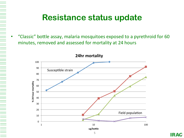### **Resistance status update**

"Classic" bottle assay, malaria mosquitoes exposed to a pyrethroid for 60 minutes, removed and assessed for mortality at 24 hours

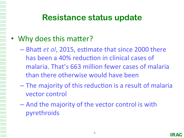### **Resistance status update**

#### • Why does this matter?

- Bhatt *et al*, 2015, estimate that since 2000 there has been a 40% reduction in clinical cases of malaria. That's 663 million fewer cases of malaria than there otherwise would have been
- $-$  The majority of this reduction is a result of malaria vector control
- And the majority of the vector control is with pyrethroids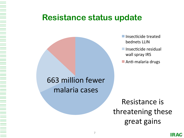### **Resistance status update**



- $\blacksquare$  Insecticide treated bednets LLIN
- Insecticide residual wall spray IRS
- $\blacksquare$  Anti-malaria drugs

Resistance is threatening these great gains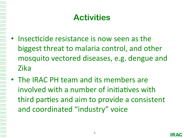# **Activities**

- Insecticide resistance is now seen as the biggest threat to malaria control, and other mosquito vectored diseases, e.g. dengue and Zika
- The IRAC PH team and its members are involved with a number of initiatives with third parties and aim to provide a consistent and coordinated "industry" voice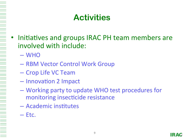# **Activities**

- Initiatives and groups IRAC PH team members are involved with include:
	- WHO
	- RBM Vector Control Work Group
	- Crop Life VC Team
	- Innovation 2 Impact
	- Working party to update WHO test procedures for monitoring insecticide resistance
	- Academic institutes
	- Etc.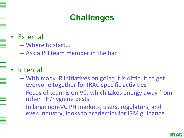# **Challenges**

#### **External**

- Where to start...
- Ask a PH team member in the bar

#### **Internal**

- With many IR initiatives on going it is difficult to get everyone together for IRAC specific activities
- $-$  Focus of team is on VC, which takes energy away from other PH/hygiene pests
- In large non-VC PH markets, users, regulators, and even industry, looks to academics for IRM guidance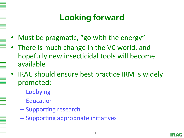# **Looking forward**

- Must be pragmatic, "go with the energy"
- There is much change in the VC world, and hopefully new insecticidal tools will become available
- IRAC should ensure best practice IRM is widely promoted:
	- Lobbying
	- Education

- Supporting research
- Supporting appropriate initiatives